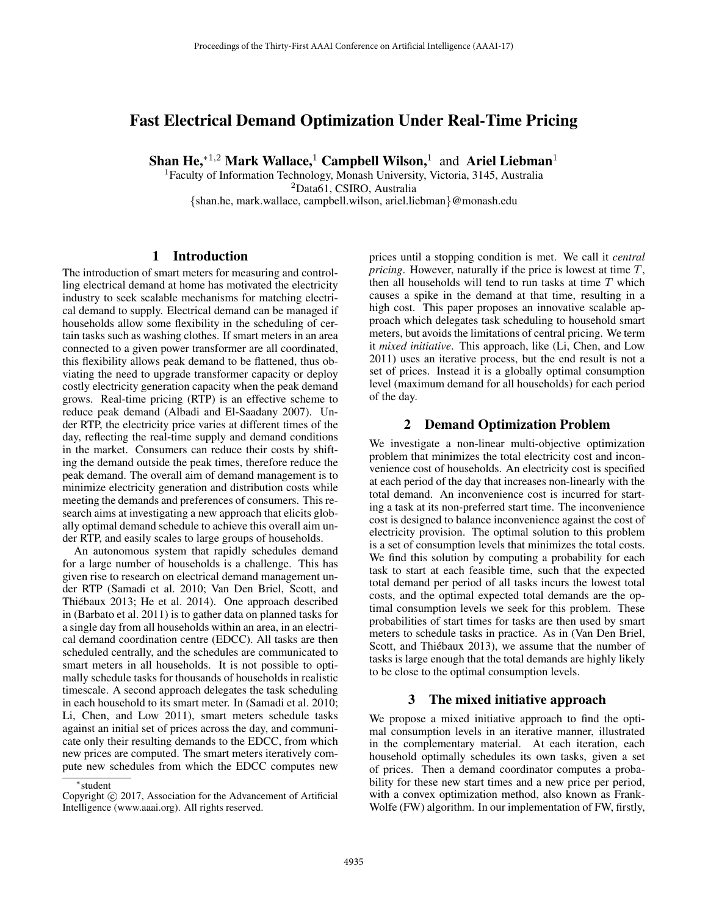# Fast Electrical Demand Optimization Under Real-Time Pricing

Shan He,<sup>∗1,2</sup> Mark Wallace,<sup>1</sup> Campbell Wilson,<sup>1</sup> and Ariel Liebman<sup>1</sup>

<sup>1</sup>Faculty of Information Technology, Monash University, Victoria, 3145, Australia <sup>2</sup>Data61, CSIRO, Australia {shan.he, mark.wallace, campbell.wilson, ariel.liebman}@monash.edu

## 1 Introduction

The introduction of smart meters for measuring and controlling electrical demand at home has motivated the electricity industry to seek scalable mechanisms for matching electrical demand to supply. Electrical demand can be managed if households allow some flexibility in the scheduling of certain tasks such as washing clothes. If smart meters in an area connected to a given power transformer are all coordinated, this flexibility allows peak demand to be flattened, thus obviating the need to upgrade transformer capacity or deploy costly electricity generation capacity when the peak demand grows. Real-time pricing (RTP) is an effective scheme to reduce peak demand (Albadi and El-Saadany 2007). Under RTP, the electricity price varies at different times of the day, reflecting the real-time supply and demand conditions in the market. Consumers can reduce their costs by shifting the demand outside the peak times, therefore reduce the peak demand. The overall aim of demand management is to minimize electricity generation and distribution costs while meeting the demands and preferences of consumers. This research aims at investigating a new approach that elicits globally optimal demand schedule to achieve this overall aim under RTP, and easily scales to large groups of households.

An autonomous system that rapidly schedules demand for a large number of households is a challenge. This has given rise to research on electrical demand management under RTP (Samadi et al. 2010; Van Den Briel, Scott, and Thiébaux 2013; He et al. 2014). One approach described in (Barbato et al. 2011) is to gather data on planned tasks for a single day from all households within an area, in an electrical demand coordination centre (EDCC). All tasks are then scheduled centrally, and the schedules are communicated to smart meters in all households. It is not possible to optimally schedule tasks for thousands of households in realistic timescale. A second approach delegates the task scheduling in each household to its smart meter. In (Samadi et al. 2010; Li, Chen, and Low 2011), smart meters schedule tasks against an initial set of prices across the day, and communicate only their resulting demands to the EDCC, from which new prices are computed. The smart meters iteratively compute new schedules from which the EDCC computes new

Copyright  $\odot$  2017, Association for the Advancement of Artificial Intelligence (www.aaai.org). All rights reserved.

prices until a stopping condition is met. We call it *central pricing*. However, naturally if the price is lowest at time T, then all households will tend to run tasks at time  $T$  which causes a spike in the demand at that time, resulting in a high cost. This paper proposes an innovative scalable approach which delegates task scheduling to household smart meters, but avoids the limitations of central pricing. We term it *mixed initiative*. This approach, like (Li, Chen, and Low 2011) uses an iterative process, but the end result is not a set of prices. Instead it is a globally optimal consumption level (maximum demand for all households) for each period of the day.

## 2 Demand Optimization Problem

We investigate a non-linear multi-objective optimization problem that minimizes the total electricity cost and inconvenience cost of households. An electricity cost is specified at each period of the day that increases non-linearly with the total demand. An inconvenience cost is incurred for starting a task at its non-preferred start time. The inconvenience cost is designed to balance inconvenience against the cost of electricity provision. The optimal solution to this problem is a set of consumption levels that minimizes the total costs. We find this solution by computing a probability for each task to start at each feasible time, such that the expected total demand per period of all tasks incurs the lowest total costs, and the optimal expected total demands are the optimal consumption levels we seek for this problem. These probabilities of start times for tasks are then used by smart meters to schedule tasks in practice. As in (Van Den Briel, Scott, and Thiébaux 2013), we assume that the number of tasks is large enough that the total demands are highly likely to be close to the optimal consumption levels.

#### 3 The mixed initiative approach

We propose a mixed initiative approach to find the optimal consumption levels in an iterative manner, illustrated in the complementary material. At each iteration, each household optimally schedules its own tasks, given a set of prices. Then a demand coordinator computes a probability for these new start times and a new price per period, with a convex optimization method, also known as Frank-Wolfe (FW) algorithm. In our implementation of FW, firstly,

<sup>∗</sup>student